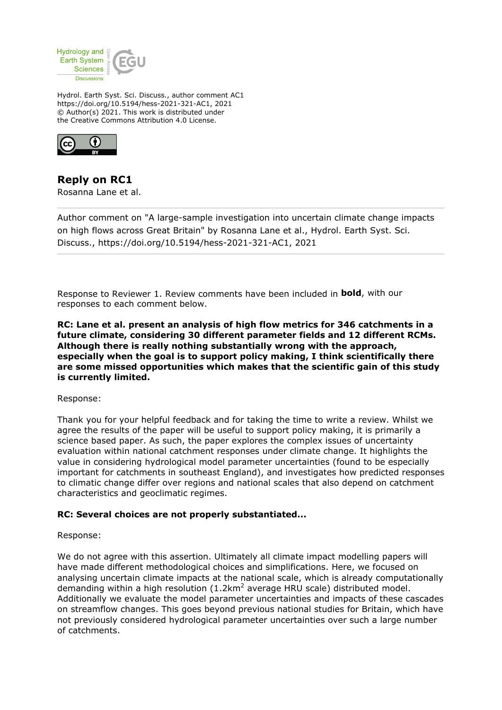

Hydrol. Earth Syst. Sci. Discuss., author comment AC1 https://doi.org/10.5194/hess-2021-321-AC1, 2021 © Author(s) 2021. This work is distributed under the Creative Commons Attribution 4.0 License.



**Reply on RC1** Rosanna Lane et al.

Author comment on "A large-sample investigation into uncertain climate change impacts on high flows across Great Britain" by Rosanna Lane et al., Hydrol. Earth Syst. Sci. Discuss., https://doi.org/10.5194/hess-2021-321-AC1, 2021

Response to Reviewer 1. Review comments have been included in **bold**, with our responses to each comment below.

**RC: Lane et al. present an analysis of high flow metrics for 346 catchments in a future climate, considering 30 different parameter fields and 12 different RCMs. Although there is really nothing substantially wrong with the approach, especially when the goal is to support policy making, I think scientifically there are some missed opportunities which makes that the scientific gain of this study is currently limited.**

Response:

Thank you for your helpful feedback and for taking the time to write a review. Whilst we agree the results of the paper will be useful to support policy making, it is primarily a science based paper. As such, the paper explores the complex issues of uncertainty evaluation within national catchment responses under climate change. It highlights the value in considering hydrological model parameter uncertainties (found to be especially important for catchments in southeast England), and investigates how predicted responses to climatic change differ over regions and national scales that also depend on catchment characteristics and geoclimatic regimes.

## **RC: Several choices are not properly substantiated...**

Response:

We do not agree with this assertion. Ultimately all climate impact modelling papers will have made different methodological choices and simplifications. Here, we focused on analysing uncertain climate impacts at the national scale, which is already computationally demanding within a high resolution  $(1.2 \text{km}^2$  average HRU scale) distributed model. Additionally we evaluate the model parameter uncertainties and impacts of these cascades on streamflow changes. This goes beyond previous national studies for Britain, which have not previously considered hydrological parameter uncertainties over such a large number of catchments.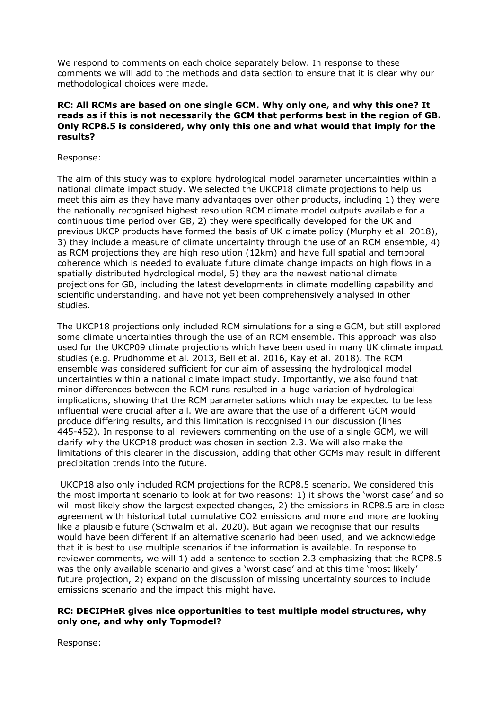We respond to comments on each choice separately below. In response to these comments we will add to the methods and data section to ensure that it is clear why our methodological choices were made.

## **RC: All RCMs are based on one single GCM. Why only one, and why this one? It reads as if this is not necessarily the GCM that performs best in the region of GB. Only RCP8.5 is considered, why only this one and what would that imply for the results?**

Response:

The aim of this study was to explore hydrological model parameter uncertainties within a national climate impact study. We selected the UKCP18 climate projections to help us meet this aim as they have many advantages over other products, including 1) they were the nationally recognised highest resolution RCM climate model outputs available for a continuous time period over GB, 2) they were specifically developed for the UK and previous UKCP products have formed the basis of UK climate policy (Murphy et al. 2018), 3) they include a measure of climate uncertainty through the use of an RCM ensemble, 4) as RCM projections they are high resolution (12km) and have full spatial and temporal coherence which is needed to evaluate future climate change impacts on high flows in a spatially distributed hydrological model, 5) they are the newest national climate projections for GB, including the latest developments in climate modelling capability and scientific understanding, and have not yet been comprehensively analysed in other studies.

The UKCP18 projections only included RCM simulations for a single GCM, but still explored some climate uncertainties through the use of an RCM ensemble. This approach was also used for the UKCP09 climate projections which have been used in many UK climate impact studies (e.g. Prudhomme et al. 2013, Bell et al. 2016, Kay et al. 2018). The RCM ensemble was considered sufficient for our aim of assessing the hydrological model uncertainties within a national climate impact study. Importantly, we also found that minor differences between the RCM runs resulted in a huge variation of hydrological implications, showing that the RCM parameterisations which may be expected to be less influential were crucial after all. We are aware that the use of a different GCM would produce differing results, and this limitation is recognised in our discussion (lines 445-452). In response to all reviewers commenting on the use of a single GCM, we will clarify why the UKCP18 product was chosen in section 2.3. We will also make the limitations of this clearer in the discussion, adding that other GCMs may result in different precipitation trends into the future.

 UKCP18 also only included RCM projections for the RCP8.5 scenario. We considered this the most important scenario to look at for two reasons: 1) it shows the 'worst case' and so will most likely show the largest expected changes, 2) the emissions in RCP8.5 are in close agreement with historical total cumulative CO2 emissions and more and more are looking like a plausible future (Schwalm et al. 2020). But again we recognise that our results would have been different if an alternative scenario had been used, and we acknowledge that it is best to use multiple scenarios if the information is available. In response to reviewer comments, we will 1) add a sentence to section 2.3 emphasizing that the RCP8.5 was the only available scenario and gives a 'worst case' and at this time 'most likely' future projection, 2) expand on the discussion of missing uncertainty sources to include emissions scenario and the impact this might have.

# **RC: DECIPHeR gives nice opportunities to test multiple model structures, why only one, and why only Topmodel?**

Response: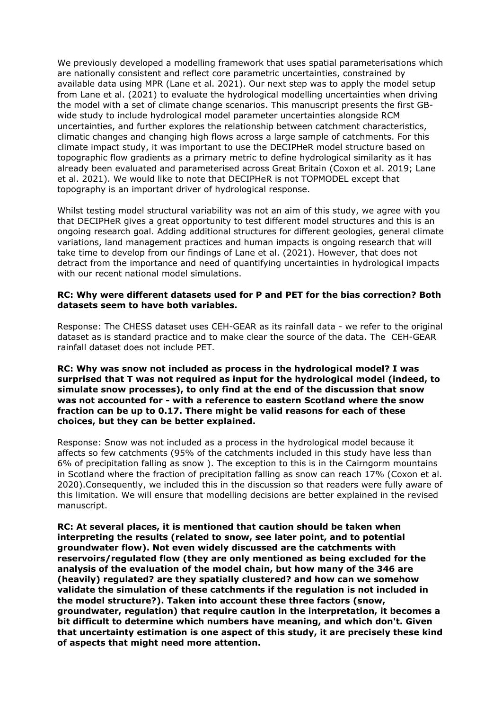We previously developed a modelling framework that uses spatial parameterisations which are nationally consistent and reflect core parametric uncertainties, constrained by available data using MPR (Lane et al. 2021). Our next step was to apply the model setup from Lane et al. (2021) to evaluate the hydrological modelling uncertainties when driving the model with a set of climate change scenarios. This manuscript presents the first GBwide study to include hydrological model parameter uncertainties alongside RCM uncertainties, and further explores the relationship between catchment characteristics, climatic changes and changing high flows across a large sample of catchments. For this climate impact study, it was important to use the DECIPHeR model structure based on topographic flow gradients as a primary metric to define hydrological similarity as it has already been evaluated and parameterised across Great Britain (Coxon et al. 2019; Lane et al. 2021). We would like to note that DECIPHeR is not TOPMODEL except that topography is an important driver of hydrological response.

Whilst testing model structural variability was not an aim of this study, we agree with you that DECIPHeR gives a great opportunity to test different model structures and this is an ongoing research goal. Adding additional structures for different geologies, general climate variations, land management practices and human impacts is ongoing research that will take time to develop from our findings of Lane et al. (2021). However, that does not detract from the importance and need of quantifying uncertainties in hydrological impacts with our recent national model simulations.

# **RC: Why were different datasets used for P and PET for the bias correction? Both datasets seem to have both variables.**

Response: The CHESS dataset uses CEH-GEAR as its rainfall data - we refer to the original dataset as is standard practice and to make clear the source of the data. The CEH-GEAR rainfall dataset does not include PET.

**RC: Why was snow not included as process in the hydrological model? I was surprised that T was not required as input for the hydrological model (indeed, to simulate snow processes), to only find at the end of the discussion that snow was not accounted for - with a reference to eastern Scotland where the snow fraction can be up to 0.17. There might be valid reasons for each of these choices, but they can be better explained.**

Response: Snow was not included as a process in the hydrological model because it affects so few catchments (95% of the catchments included in this study have less than 6% of precipitation falling as snow ). The exception to this is in the Cairngorm mountains in Scotland where the fraction of precipitation falling as snow can reach 17% (Coxon et al. 2020).Consequently, we included this in the discussion so that readers were fully aware of this limitation. We will ensure that modelling decisions are better explained in the revised manuscript.

**RC: At several places, it is mentioned that caution should be taken when interpreting the results (related to snow, see later point, and to potential groundwater flow). Not even widely discussed are the catchments with reservoirs/regulated flow (they are only mentioned as being excluded for the analysis of the evaluation of the model chain, but how many of the 346 are (heavily) regulated? are they spatially clustered? and how can we somehow validate the simulation of these catchments if the regulation is not included in the model structure?). Taken into account these three factors (snow, groundwater, regulation) that require caution in the interpretation, it becomes a bit difficult to determine which numbers have meaning, and which don't. Given that uncertainty estimation is one aspect of this study, it are precisely these kind of aspects that might need more attention.**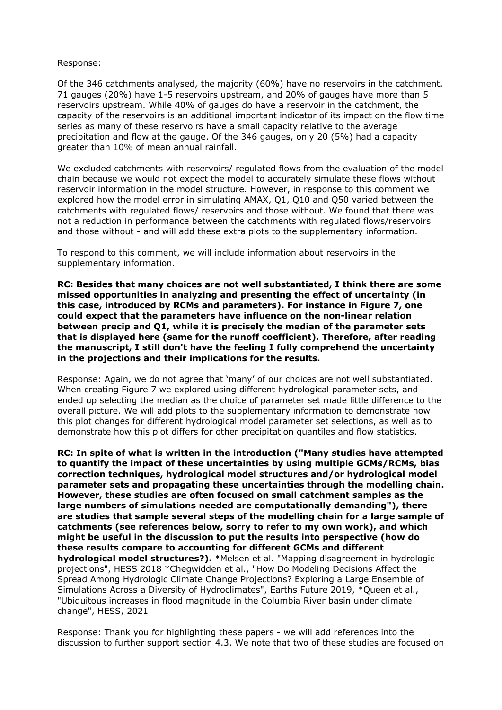#### Response:

Of the 346 catchments analysed, the majority (60%) have no reservoirs in the catchment. 71 gauges (20%) have 1-5 reservoirs upstream, and 20% of gauges have more than 5 reservoirs upstream. While 40% of gauges do have a reservoir in the catchment, the capacity of the reservoirs is an additional important indicator of its impact on the flow time series as many of these reservoirs have a small capacity relative to the average precipitation and flow at the gauge. Of the 346 gauges, only 20 (5%) had a capacity greater than 10% of mean annual rainfall.

We excluded catchments with reservoirs/ regulated flows from the evaluation of the model chain because we would not expect the model to accurately simulate these flows without reservoir information in the model structure. However, in response to this comment we explored how the model error in simulating AMAX, Q1, Q10 and Q50 varied between the catchments with regulated flows/ reservoirs and those without. We found that there was not a reduction in performance between the catchments with regulated flows/reservoirs and those without - and will add these extra plots to the supplementary information.

To respond to this comment, we will include information about reservoirs in the supplementary information.

**RC: Besides that many choices are not well substantiated, I think there are some missed opportunities in analyzing and presenting the effect of uncertainty (in this case, introduced by RCMs and parameters). For instance in Figure 7, one could expect that the parameters have influence on the non-linear relation between precip and Q1, while it is precisely the median of the parameter sets that is displayed here (same for the runoff coefficient). Therefore, after reading the manuscript, I still don't have the feeling I fully comprehend the uncertainty in the projections and their implications for the results.**

Response: Again, we do not agree that 'many' of our choices are not well substantiated. When creating Figure 7 we explored using different hydrological parameter sets, and ended up selecting the median as the choice of parameter set made little difference to the overall picture. We will add plots to the supplementary information to demonstrate how this plot changes for different hydrological model parameter set selections, as well as to demonstrate how this plot differs for other precipitation quantiles and flow statistics.

**RC: In spite of what is written in the introduction ("Many studies have attempted to quantify the impact of these uncertainties by using multiple GCMs/RCMs, bias correction techniques, hydrological model structures and/or hydrological model parameter sets and propagating these uncertainties through the modelling chain. However, these studies are often focused on small catchment samples as the large numbers of simulations needed are computationally demanding"), there are studies that sample several steps of the modelling chain for a large sample of catchments (see references below, sorry to refer to my own work), and which might be useful in the discussion to put the results into perspective (how do these results compare to accounting for different GCMs and different hydrological model structures?).** \*Melsen et al. "Mapping disagreement in hydrologic projections", HESS 2018 \*Chegwidden et al., "How Do Modeling Decisions Affect the Spread Among Hydrologic Climate Change Projections? Exploring a Large Ensemble of Simulations Across a Diversity of Hydroclimates", Earths Future 2019, \*Queen et al., "Ubiquitous increases in flood magnitude in the Columbia River basin under climate change", HESS, 2021

Response: Thank you for highlighting these papers - we will add references into the discussion to further support section 4.3. We note that two of these studies are focused on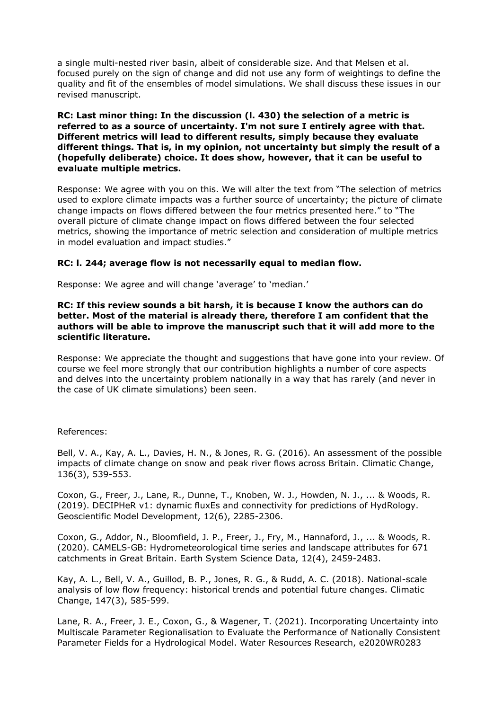a single multi-nested river basin, albeit of considerable size. And that Melsen et al. focused purely on the sign of change and did not use any form of weightings to define the quality and fit of the ensembles of model simulations. We shall discuss these issues in our revised manuscript.

**RC: Last minor thing: In the discussion (l. 430) the selection of a metric is referred to as a source of uncertainty. I'm not sure I entirely agree with that. Different metrics will lead to different results, simply because they evaluate different things. That is, in my opinion, not uncertainty but simply the result of a (hopefully deliberate) choice. It does show, however, that it can be useful to evaluate multiple metrics.**

Response: We agree with you on this. We will alter the text from "The selection of metrics used to explore climate impacts was a further source of uncertainty; the picture of climate change impacts on flows differed between the four metrics presented here." to "The overall picture of climate change impact on flows differed between the four selected metrics, showing the importance of metric selection and consideration of multiple metrics in model evaluation and impact studies."

# **RC: l. 244; average flow is not necessarily equal to median flow.**

Response: We agree and will change 'average' to 'median.'

## **RC: If this review sounds a bit harsh, it is because I know the authors can do better. Most of the material is already there, therefore I am confident that the authors will be able to improve the manuscript such that it will add more to the scientific literature.**

Response: We appreciate the thought and suggestions that have gone into your review. Of course we feel more strongly that our contribution highlights a number of core aspects and delves into the uncertainty problem nationally in a way that has rarely (and never in the case of UK climate simulations) been seen.

## References:

Bell, V. A., Kay, A. L., Davies, H. N., & Jones, R. G. (2016). An assessment of the possible impacts of climate change on snow and peak river flows across Britain. Climatic Change, 136(3), 539-553.

Coxon, G., Freer, J., Lane, R., Dunne, T., Knoben, W. J., Howden, N. J., ... & Woods, R. (2019). DECIPHeR v1: dynamic fluxEs and connectivity for predictions of HydRology. Geoscientific Model Development, 12(6), 2285-2306.

Coxon, G., Addor, N., Bloomfield, J. P., Freer, J., Fry, M., Hannaford, J., ... & Woods, R. (2020). CAMELS-GB: Hydrometeorological time series and landscape attributes for 671 catchments in Great Britain. Earth System Science Data, 12(4), 2459-2483.

Kay, A. L., Bell, V. A., Guillod, B. P., Jones, R. G., & Rudd, A. C. (2018). National-scale analysis of low flow frequency: historical trends and potential future changes. Climatic Change, 147(3), 585-599.

Lane, R. A., Freer, J. E., Coxon, G., & Wagener, T. (2021). Incorporating Uncertainty into Multiscale Parameter Regionalisation to Evaluate the Performance of Nationally Consistent Parameter Fields for a Hydrological Model. Water Resources Research, e2020WR0283